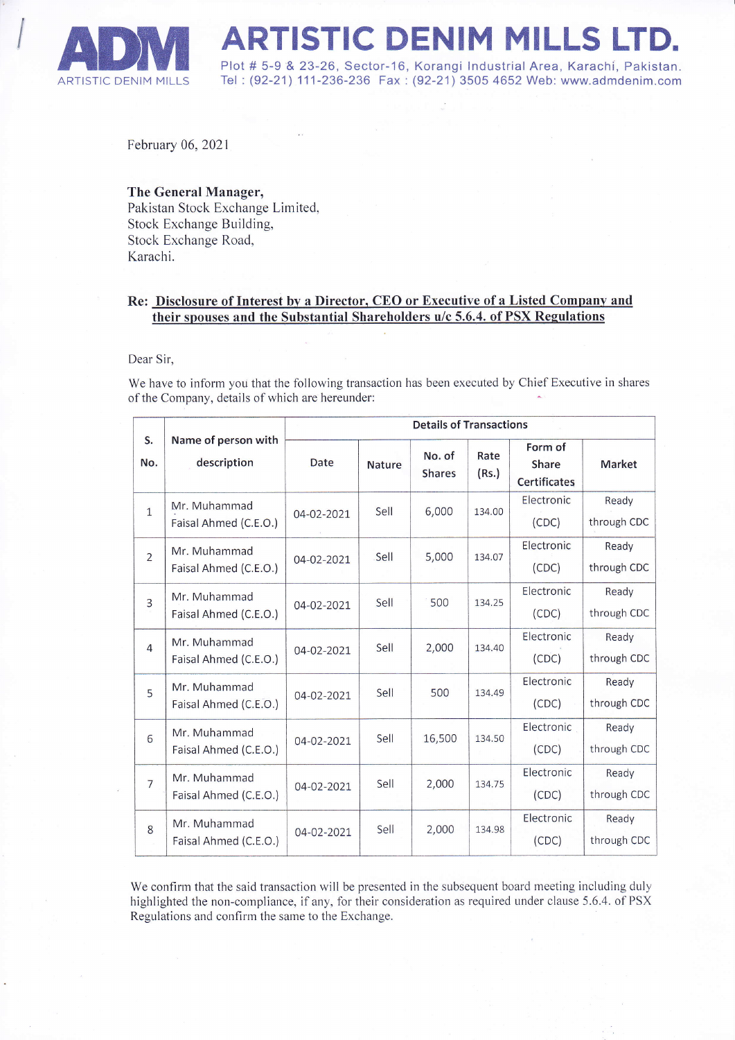

**ADIM ARTISTIC DENIM MILLS LTD.**<br>Plot # 5-9 & 23-26, Sector-16, Korangi Industrial Area, Karachi, Pakistan.<br>ARTISTIC DENIM MILLS Tel: (92-21) 111-236-236 Fax : (92-21) 3505 4652 Web: www.admdenim.com

Tel: (92-21) 111-236-236 Fax: (92-21) 3505 4652 Web: www.admdenim.com

February 06,2021

The General Manager, Pakistan Stock Exchange Limited, Stock Exchange Building, Stock Exchange Road, Karachi.

## Re: Disclosure of Interest by a Director. CEO or Bxecutive of a Listed Company and their spouses and the Substantial Shareholders u/c 5.6.4. of PSX Regulations

## Dear Sir,

We have to inform you that the following transaction has been executed by Chief Executive in shares of the Company, details of which are hereunder:

| S.<br>No.      | Name of person with<br>description    | <b>Details of Transactions</b> |               |                         |               |                                                |                      |
|----------------|---------------------------------------|--------------------------------|---------------|-------------------------|---------------|------------------------------------------------|----------------------|
|                |                                       | Date                           | <b>Nature</b> | No. of<br><b>Shares</b> | Rate<br>(Rs.) | Form of<br><b>Share</b><br><b>Certificates</b> | <b>Market</b>        |
| $\overline{1}$ | Mr. Muhammad<br>Faisal Ahmed (C.E.O.) | 04-02-2021                     | Sell          | 6,000                   | 134.00        | Electronic<br>(CDC)                            | Ready<br>through CDC |
| $\overline{2}$ | Mr. Muhammad<br>Faisal Ahmed (C.E.O.) | 04-02-2021                     | Sell          | 5,000                   | 134.07        | Electronic<br>(CDC)                            | Ready<br>through CDC |
| 3              | Mr. Muhammad<br>Faisal Ahmed (C.E.O.) | 04-02-2021                     | Sell          | 500                     | 134.25        | Electronic<br>(CDC)                            | Ready<br>through CDC |
| $\overline{4}$ | Mr. Muhammad<br>Faisal Ahmed (C.E.O.) | 04-02-2021                     | Sell          | 2,000                   | 134.40        | Electronic<br>(CDC)                            | Ready<br>through CDC |
| 5              | Mr. Muhammad<br>Faisal Ahmed (C.E.O.) | 04-02-2021                     | Sell          | 500                     | 134.49        | Electronic<br>(CDC)                            | Ready<br>through CDC |
| 6              | Mr. Muhammad<br>Faisal Ahmed (C.E.O.) | 04-02-2021                     | Sell          | 16,500                  | 134.50        | Electronic<br>(CDC)                            | Ready<br>through CDC |
| $\overline{7}$ | Mr. Muhammad<br>Faisal Ahmed (C.E.O.) | 04-02-2021                     | Sell          | 2,000                   | 134.75        | Electronic<br>(CDC)                            | Ready<br>through CDC |
| 8              | Mr. Muhammad<br>Faisal Ahmed (C.E.O.) | 04-02-2021                     | Sell          | 2,000                   | 134.98        | Electronic<br>(CDC)                            | Ready<br>through CDC |

We confirm that the said transaction will be presented in the subsequent board meeting including duly highlighted the non-compliance, if any, for their consideration as required under clause 5.6.4. of PSX Regulations and confirm the same to the Exchange.